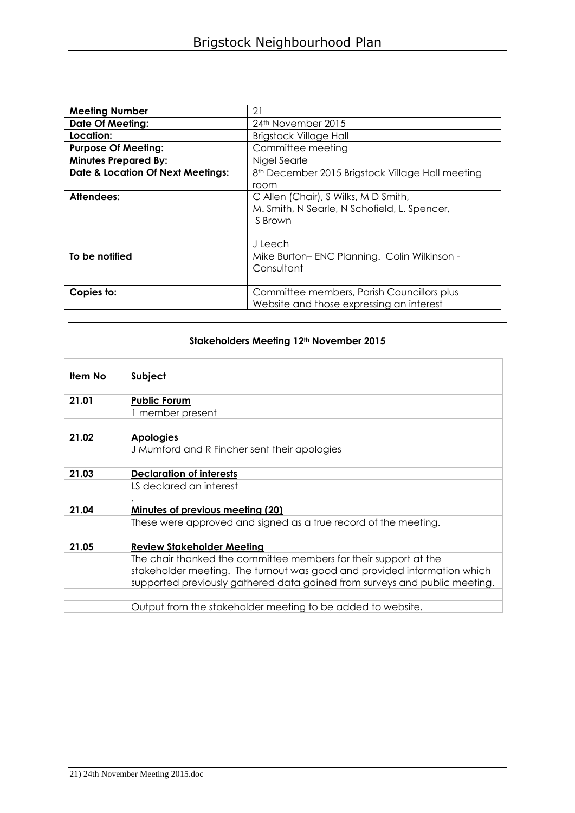| <b>Meeting Number</b>                        | 21                                                                                                        |
|----------------------------------------------|-----------------------------------------------------------------------------------------------------------|
| <b>Date Of Meeting:</b>                      | 24th November 2015                                                                                        |
| Location:                                    | <b>Brigstock Village Hall</b>                                                                             |
| <b>Purpose Of Meeting:</b>                   | Committee meeting                                                                                         |
| <b>Minutes Prepared By:</b>                  | Nigel Searle                                                                                              |
| <b>Date &amp; Location Of Next Meetings:</b> | 8 <sup>th</sup> December 2015 Brigstock Village Hall meeting                                              |
|                                              | room                                                                                                      |
| <b>Attendees:</b>                            | C Allen (Chair), S Wilks, M D Smith,<br>M. Smith, N Searle, N Schofield, L. Spencer,<br>S Brown<br>Jleech |
| To be notified                               | Mike Burton-ENC Planning. Colin Wilkinson -<br>Consultant                                                 |
| Copies to:                                   | Committee members, Parish Councillors plus<br>Website and those expressing an interest                    |

## **Stakeholders Meeting 12th November 2015**

| Item No | Subject                                                                                                                                                                                                                    |
|---------|----------------------------------------------------------------------------------------------------------------------------------------------------------------------------------------------------------------------------|
|         |                                                                                                                                                                                                                            |
| 21.01   | <b>Public Forum</b>                                                                                                                                                                                                        |
|         | 1 member present                                                                                                                                                                                                           |
|         |                                                                                                                                                                                                                            |
| 21.02   | <b>Apologies</b>                                                                                                                                                                                                           |
|         | J Mumford and R Fincher sent their apologies                                                                                                                                                                               |
|         |                                                                                                                                                                                                                            |
| 21.03   | <b>Declaration of interests</b>                                                                                                                                                                                            |
|         | LS declared an interest                                                                                                                                                                                                    |
| 21.04   | Minutes of previous meeting (20)                                                                                                                                                                                           |
|         | These were approved and signed as a true record of the meeting.                                                                                                                                                            |
|         |                                                                                                                                                                                                                            |
| 21.05   | <b>Review Stakeholder Meeting</b>                                                                                                                                                                                          |
|         | The chair thanked the committee members for their support at the<br>stakeholder meeting. The turnout was good and provided information which<br>supported previously gathered data gained from surveys and public meeting. |
|         |                                                                                                                                                                                                                            |
|         | Output from the stakeholder meeting to be added to website.                                                                                                                                                                |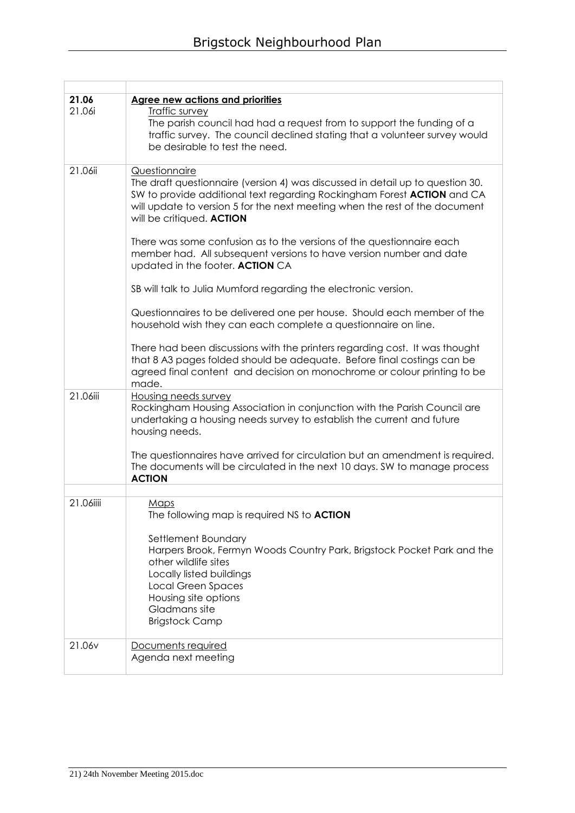| 21.06<br>21.06i | <b>Agree new actions and priorities</b><br>Traffic survey<br>The parish council had had a request from to support the funding of a<br>traffic survey. The council declined stating that a volunteer survey would<br>be desirable to test the need.                                     |
|-----------------|----------------------------------------------------------------------------------------------------------------------------------------------------------------------------------------------------------------------------------------------------------------------------------------|
| 21.06ii         | Questionnaire<br>The draft questionnaire (version 4) was discussed in detail up to question 30.<br>SW to provide additional text regarding Rockingham Forest ACTION and CA<br>will update to version 5 for the next meeting when the rest of the document<br>will be critiqued. ACTION |
|                 | There was some confusion as to the versions of the questionnaire each<br>member had. All subsequent versions to have version number and date<br>updated in the footer. ACTION CA                                                                                                       |
|                 | SB will talk to Julia Mumford regarding the electronic version.                                                                                                                                                                                                                        |
|                 | Questionnaires to be delivered one per house. Should each member of the<br>household wish they can each complete a questionnaire on line.                                                                                                                                              |
|                 | There had been discussions with the printers regarding cost. It was thought<br>that 8 A3 pages folded should be adequate. Before final costings can be<br>agreed final content and decision on monochrome or colour printing to be<br>made.                                            |
| 21.06iii        | <b>Housing needs survey</b><br>Rockingham Housing Association in conjunction with the Parish Council are<br>undertaking a housing needs survey to establish the current and future<br>housing needs.                                                                                   |
|                 | The questionnaires have arrived for circulation but an amendment is required.<br>The documents will be circulated in the next 10 days. SW to manage process<br><b>ACTION</b>                                                                                                           |
| 21.06iiii       | Maps                                                                                                                                                                                                                                                                                   |
|                 | The following map is required NS to ACTION                                                                                                                                                                                                                                             |
|                 | Settlement Boundary<br>Harpers Brook, Fermyn Woods Country Park, Brigstock Pocket Park and the<br>other wildlife sites<br>Locally listed buildings<br><b>Local Green Spaces</b><br>Housing site options<br>Gladmans site<br><b>Brigstock Camp</b>                                      |
| 21.06v          | Documents required<br>Agenda next meeting                                                                                                                                                                                                                                              |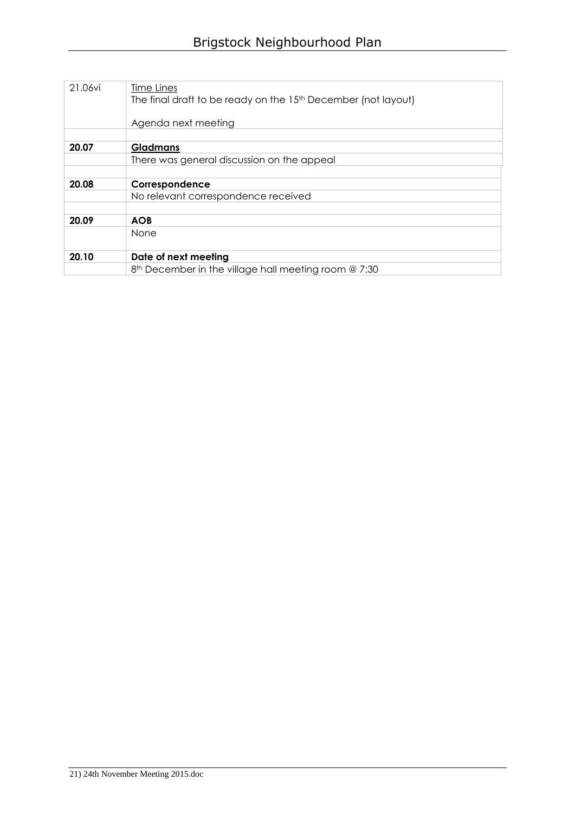| 21.06vi | Time Lines<br>The final draft to be ready on the 15 <sup>th</sup> December (not layout)<br>Agenda next meeting |
|---------|----------------------------------------------------------------------------------------------------------------|
| 20.07   | Gladmans                                                                                                       |
|         | There was general discussion on the appeal                                                                     |
|         |                                                                                                                |
| 20.08   | Correspondence                                                                                                 |
|         | No relevant correspondence received                                                                            |
| 20.09   | <b>AOB</b>                                                                                                     |
|         | None                                                                                                           |
| 20.10   | Date of next meeting                                                                                           |
|         | 8 <sup>th</sup> December in the village hall meeting room @ 7:30                                               |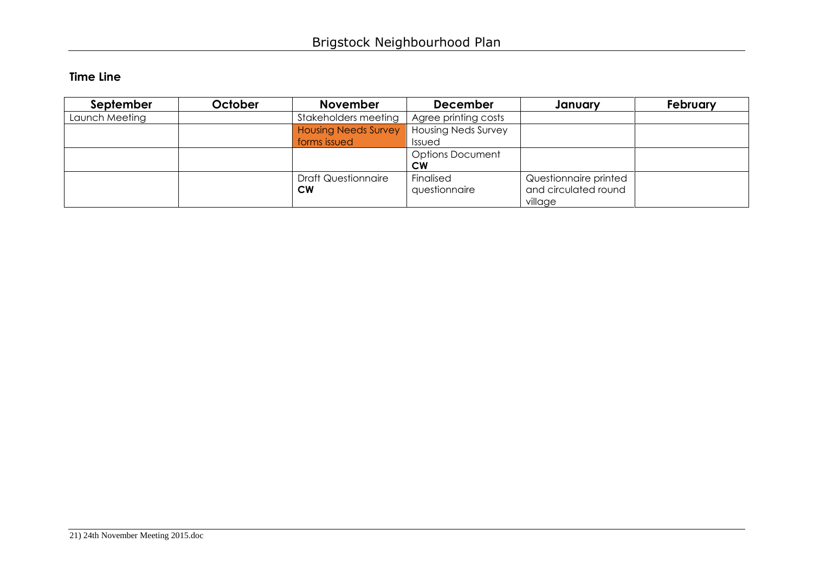## **Time Line**

| September      | October | <b>November</b>             | <b>December</b>            | January               | February |
|----------------|---------|-----------------------------|----------------------------|-----------------------|----------|
| Launch Meeting |         | Stakeholders meeting        | Agree printing costs       |                       |          |
|                |         | <b>Housing Needs Survey</b> | <b>Housing Neds Survey</b> |                       |          |
|                |         | forms issued                | Issued                     |                       |          |
|                |         |                             | <b>Options Document</b>    |                       |          |
|                |         |                             | <b>CW</b>                  |                       |          |
|                |         | <b>Draft Questionnaire</b>  | Finalised                  | Questionnaire printed |          |
|                |         | <b>CW</b>                   | questionnaire              | and circulated round  |          |
|                |         |                             |                            | village               |          |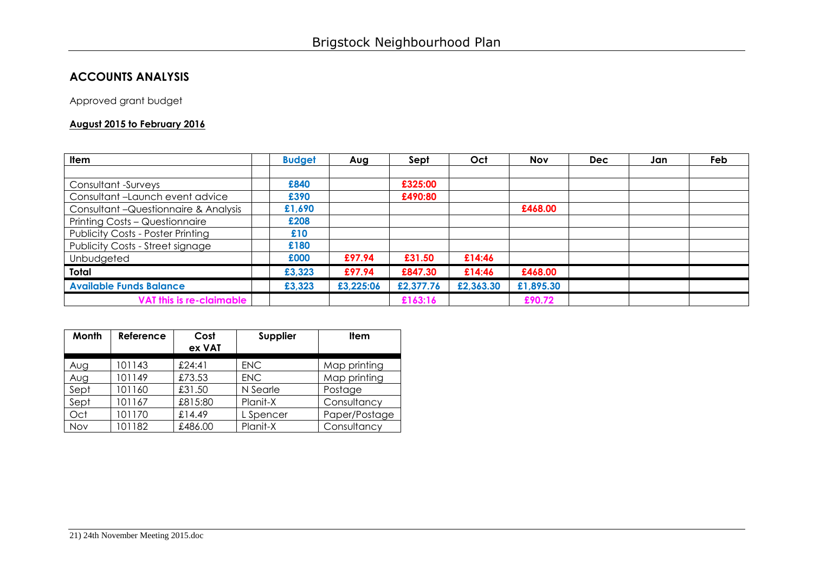## **ACCOUNTS ANALYSIS**

Approved grant budget

## **August 2015 to February 2016**

| <b>Item</b>                              | <b>Budget</b> | Aug       | Sept      | Oct       | <b>Nov</b> | <b>Dec</b> | Jan | Feb |
|------------------------------------------|---------------|-----------|-----------|-----------|------------|------------|-----|-----|
|                                          |               |           |           |           |            |            |     |     |
| Consultant -Surveys                      | £840          |           | £325:00   |           |            |            |     |     |
| Consultant-Launch event advice           | £390          |           | £490:80   |           |            |            |     |     |
| Consultant - Questionnaire & Analysis    | £1,690        |           |           |           | £468.00    |            |     |     |
| Printing Costs - Questionnaire           | £208          |           |           |           |            |            |     |     |
| <b>Publicity Costs - Poster Printing</b> | £10           |           |           |           |            |            |     |     |
| Publicity Costs - Street signage         | £180          |           |           |           |            |            |     |     |
| Unbudgeted                               | £000          | £97.94    | £31.50    | £14:46    |            |            |     |     |
| Total                                    | £3,323        | £97.94    | £847.30   | £14:46    | £468.00    |            |     |     |
| <b>Available Funds Balance</b>           | £3,323        | £3,225:06 | £2,377.76 | £2,363.30 | £1,895.30  |            |     |     |
| VAT this is re-claimable                 |               |           | £163:16   |           | £90.72     |            |     |     |

| Month | Reference | Cost<br>ex VAT | Supplier   | <b>Item</b>   |
|-------|-----------|----------------|------------|---------------|
| Aug   | 101143    | £24:41         | <b>ENC</b> | Map printing  |
| Aug   | 101149    | £73.53         | <b>ENC</b> | Map printing  |
| Sept  | 101160    | £31.50         | N Searle   | Postage       |
| Sept  | 101167    | £815:80        | Planit-X   | Consultancy   |
| Oct   | 101170    | £14.49         | L Spencer  | Paper/Postage |
| Nov   | 101182    | £486.00        | Planit-X   | Consultancy   |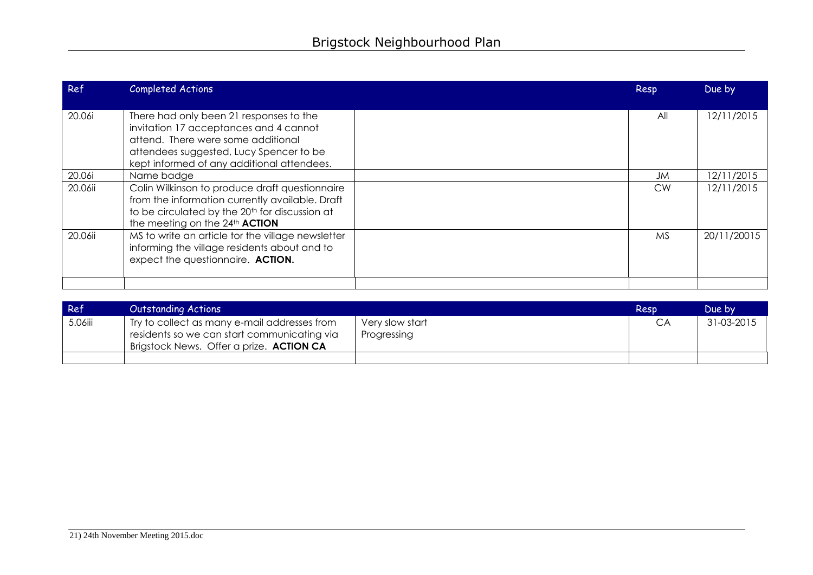| Ref     | <b>Completed Actions</b>                                                                                                                                                                                         | Resp      | Due by      |
|---------|------------------------------------------------------------------------------------------------------------------------------------------------------------------------------------------------------------------|-----------|-------------|
| 20.06i  | There had only been 21 responses to the<br>invitation 17 acceptances and 4 cannot<br>attend. There were some additional<br>attendees suggested, Lucy Spencer to be<br>kept informed of any additional attendees. | All       | 12/11/2015  |
| 20.06i  | Name badge                                                                                                                                                                                                       | JM        | 12/11/2015  |
| 20.06ii | Colin Wilkinson to produce draft questionnaire<br>from the information currently available. Draft<br>to be circulated by the 20 <sup>th</sup> for discussion at<br>the meeting on the 24th ACTION                | <b>CW</b> | 12/11/2015  |
| 20.06ii | MS to write an article tor the village newsletter<br>informing the village residents about and to<br>expect the questionnaire. ACTION.                                                                           | <b>MS</b> | 20/11/20015 |
|         |                                                                                                                                                                                                                  |           |             |

| Ref     | <b>Outstanding Actions</b>                                                                                                              |                                | Resp | Due by     |
|---------|-----------------------------------------------------------------------------------------------------------------------------------------|--------------------------------|------|------------|
| 5.06iii | Try to collect as many e-mail addresses from<br>residents so we can start communicating via<br>Brigstock News. Offer a prize. ACTION CA | Very slow start<br>Progressing |      | 31-03-2015 |
|         |                                                                                                                                         |                                |      |            |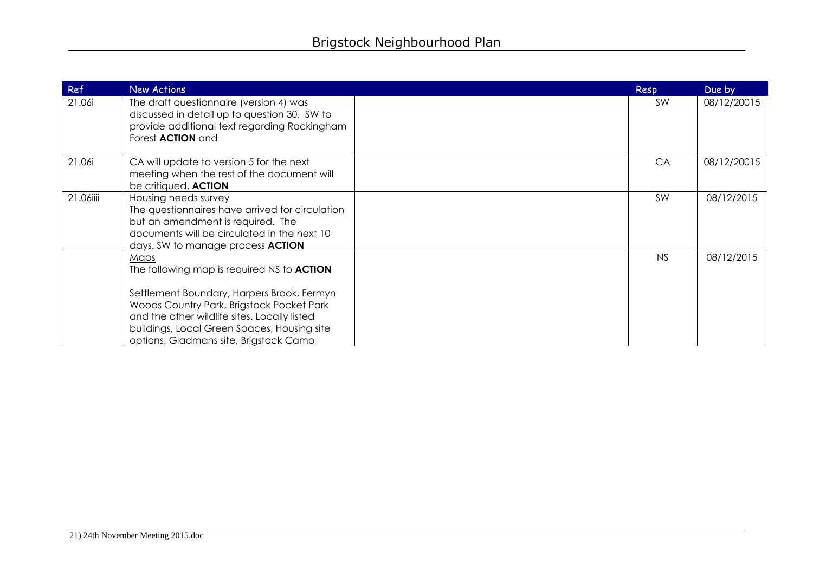| Ref       | New Actions                                                                                                                                                                                                                                                                                   | Resp      | Due by      |
|-----------|-----------------------------------------------------------------------------------------------------------------------------------------------------------------------------------------------------------------------------------------------------------------------------------------------|-----------|-------------|
| 21.06i    | The draft questionnaire (version 4) was<br>discussed in detail up to question 30. SW to<br>provide additional text regarding Rockingham<br>Forest <b>ACTION</b> and                                                                                                                           | <b>SW</b> | 08/12/20015 |
| 21.06i    | CA will update to version 5 for the next<br>meeting when the rest of the document will<br>be critiqued. ACTION                                                                                                                                                                                | CA        | 08/12/20015 |
| 21.06iiii | Housing needs survey<br>The questionnaires have arrived for circulation<br>but an amendment is required. The<br>documents will be circulated in the next 10<br>days. SW to manage process <b>ACTION</b>                                                                                       | SW        | 08/12/2015  |
|           | Maps<br>The following map is required NS to <b>ACTION</b><br>Settlement Boundary, Harpers Brook, Fermyn<br>Woods Country Park, Brigstock Pocket Park<br>and the other wildlife sites, Locally listed<br>buildings, Local Green Spaces, Housing site<br>options, Gladmans site, Brigstock Camp | NS        | 08/12/2015  |